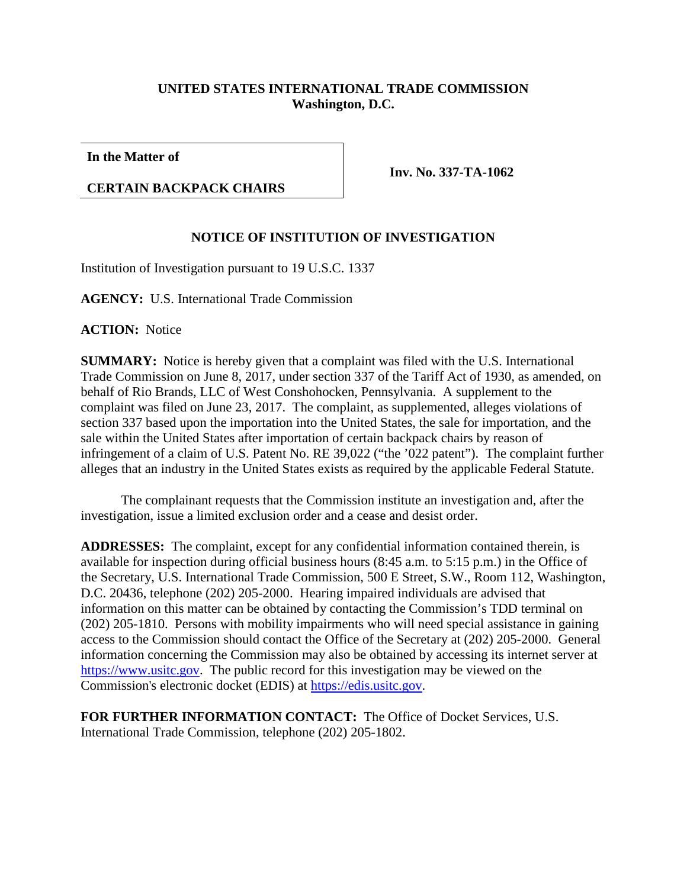## **UNITED STATES INTERNATIONAL TRADE COMMISSION Washington, D.C.**

**In the Matter of**

## **CERTAIN BACKPACK CHAIRS**

**Inv. No. 337-TA-1062**

## **NOTICE OF INSTITUTION OF INVESTIGATION**

Institution of Investigation pursuant to 19 U.S.C. 1337

**AGENCY:** U.S. International Trade Commission

**ACTION:** Notice

**SUMMARY:** Notice is hereby given that a complaint was filed with the U.S. International Trade Commission on June 8, 2017, under section 337 of the Tariff Act of 1930, as amended, on behalf of Rio Brands, LLC of West Conshohocken, Pennsylvania. A supplement to the complaint was filed on June 23, 2017. The complaint, as supplemented, alleges violations of section 337 based upon the importation into the United States, the sale for importation, and the sale within the United States after importation of certain backpack chairs by reason of infringement of a claim of U.S. Patent No. RE 39,022 ("the '022 patent"). The complaint further alleges that an industry in the United States exists as required by the applicable Federal Statute.

The complainant requests that the Commission institute an investigation and, after the investigation, issue a limited exclusion order and a cease and desist order.

**ADDRESSES:** The complaint, except for any confidential information contained therein, is available for inspection during official business hours (8:45 a.m. to 5:15 p.m.) in the Office of the Secretary, U.S. International Trade Commission, 500 E Street, S.W., Room 112, Washington, D.C. 20436, telephone (202) 205-2000. Hearing impaired individuals are advised that information on this matter can be obtained by contacting the Commission's TDD terminal on (202) 205-1810. Persons with mobility impairments who will need special assistance in gaining access to the Commission should contact the Office of the Secretary at (202) 205-2000. General information concerning the Commission may also be obtained by accessing its internet server at [https://www.usitc.gov.](https://www.usitc.gov/) The public record for this investigation may be viewed on the Commission's electronic docket (EDIS) at [https://edis.usitc.gov.](https://edis.usitc.gov/)

**FOR FURTHER INFORMATION CONTACT:** The Office of Docket Services, U.S. International Trade Commission, telephone (202) 205-1802.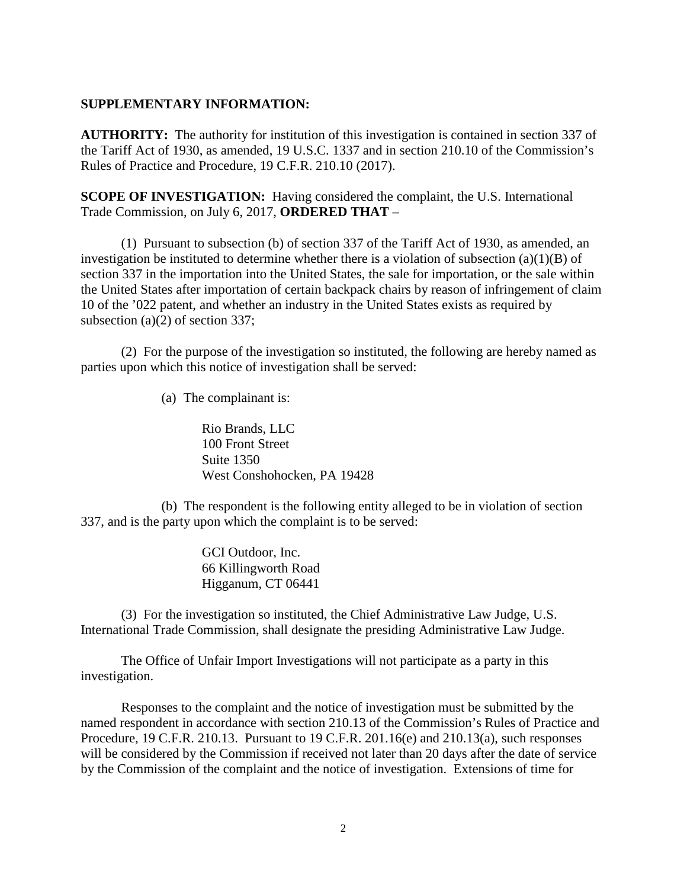## **SUPPLEMENTARY INFORMATION:**

**AUTHORITY:** The authority for institution of this investigation is contained in section 337 of the Tariff Act of 1930, as amended, 19 U.S.C. 1337 and in section 210.10 of the Commission's Rules of Practice and Procedure, 19 C.F.R. 210.10 (2017).

**SCOPE OF INVESTIGATION:** Having considered the complaint, the U.S. International Trade Commission, on July 6, 2017, **ORDERED THAT** –

(1) Pursuant to subsection (b) of section 337 of the Tariff Act of 1930, as amended, an investigation be instituted to determine whether there is a violation of subsection  $(a)(1)(B)$  of section 337 in the importation into the United States, the sale for importation, or the sale within the United States after importation of certain backpack chairs by reason of infringement of claim 10 of the '022 patent, and whether an industry in the United States exists as required by subsection (a)(2) of section 337;

(2) For the purpose of the investigation so instituted, the following are hereby named as parties upon which this notice of investigation shall be served:

(a) The complainant is:

Rio Brands, LLC 100 Front Street Suite 1350 West Conshohocken, PA 19428

(b) The respondent is the following entity alleged to be in violation of section 337, and is the party upon which the complaint is to be served:

> GCI Outdoor, Inc. 66 Killingworth Road Higganum, CT 06441

(3) For the investigation so instituted, the Chief Administrative Law Judge, U.S. International Trade Commission, shall designate the presiding Administrative Law Judge.

The Office of Unfair Import Investigations will not participate as a party in this investigation.

Responses to the complaint and the notice of investigation must be submitted by the named respondent in accordance with section 210.13 of the Commission's Rules of Practice and Procedure, 19 C.F.R. 210.13. Pursuant to 19 C.F.R. 201.16(e) and 210.13(a), such responses will be considered by the Commission if received not later than 20 days after the date of service by the Commission of the complaint and the notice of investigation. Extensions of time for